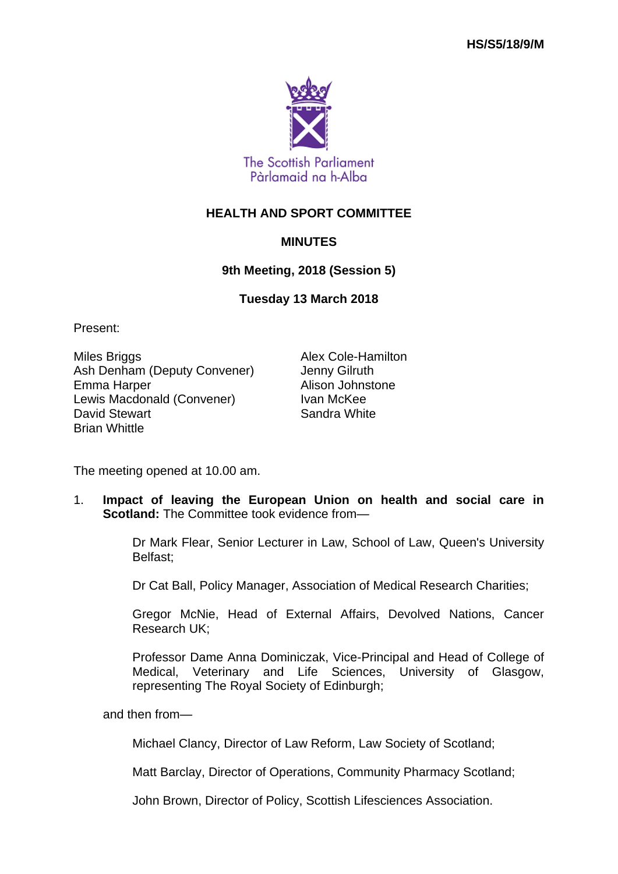

## **HEALTH AND SPORT COMMITTEE**

## **MINUTES**

## **9th Meeting, 2018 (Session 5)**

**Tuesday 13 March 2018**

Present:

Miles Briggs **Alex Cole-Hamilton** Ash Denham (Deputy Convener) Jenny Gilruth Emma Harper **Alison** Johnstone Lewis Macdonald (Convener) Ivan McKee David Stewart **Sandra White** Sandra White Brian Whittle

The meeting opened at 10.00 am.

1. **Impact of leaving the European Union on health and social care in Scotland:** The Committee took evidence from—

> Dr Mark Flear, Senior Lecturer in Law, School of Law, Queen's University Belfast;

Dr Cat Ball, Policy Manager, Association of Medical Research Charities;

Gregor McNie, Head of External Affairs, Devolved Nations, Cancer Research UK;

Professor Dame Anna Dominiczak, Vice-Principal and Head of College of Medical, Veterinary and Life Sciences, University of Glasgow, representing The Royal Society of Edinburgh;

and then from—

Michael Clancy, Director of Law Reform, Law Society of Scotland;

Matt Barclay, Director of Operations, Community Pharmacy Scotland;

John Brown, Director of Policy, Scottish Lifesciences Association.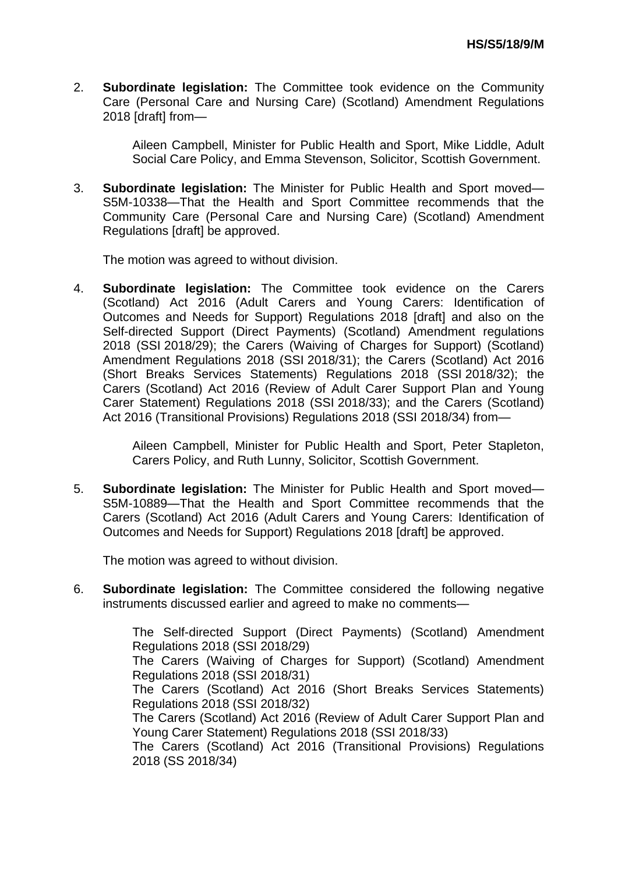2. **Subordinate legislation:** The Committee took evidence on the Community Care (Personal Care and Nursing Care) (Scotland) Amendment Regulations 2018 [draft] from—

> Aileen Campbell, Minister for Public Health and Sport, Mike Liddle, Adult Social Care Policy, and Emma Stevenson, Solicitor, Scottish Government.

3. **Subordinate legislation:** The Minister for Public Health and Sport moved— S5M-10338—That the Health and Sport Committee recommends that the Community Care (Personal Care and Nursing Care) (Scotland) Amendment Regulations [draft] be approved.

The motion was agreed to without division.

4. **Subordinate legislation:** The Committee took evidence on the Carers (Scotland) Act 2016 (Adult Carers and Young Carers: Identification of Outcomes and Needs for Support) Regulations 2018 [draft] and also on the Self-directed Support (Direct Payments) (Scotland) Amendment regulations 2018 (SSI 2018/29); the Carers (Waiving of Charges for Support) (Scotland) Amendment Regulations 2018 (SSI 2018/31); the Carers (Scotland) Act 2016 (Short Breaks Services Statements) Regulations 2018 (SSI 2018/32); the Carers (Scotland) Act 2016 (Review of Adult Carer Support Plan and Young Carer Statement) Regulations 2018 (SSI 2018/33); and the Carers (Scotland) Act 2016 (Transitional Provisions) Regulations 2018 (SSI 2018/34) from—

> Aileen Campbell, Minister for Public Health and Sport, Peter Stapleton, Carers Policy, and Ruth Lunny, Solicitor, Scottish Government.

5. **Subordinate legislation:** The Minister for Public Health and Sport moved— S5M-10889—That the Health and Sport Committee recommends that the Carers (Scotland) Act 2016 (Adult Carers and Young Carers: Identification of Outcomes and Needs for Support) Regulations 2018 [draft] be approved.

The motion was agreed to without division.

6. **Subordinate legislation:** The Committee considered the following negative instruments discussed earlier and agreed to make no comments—

> The Self-directed Support (Direct Payments) (Scotland) Amendment Regulations 2018 (SSI 2018/29) The Carers (Waiving of Charges for Support) (Scotland) Amendment Regulations 2018 (SSI 2018/31)

> The Carers (Scotland) Act 2016 (Short Breaks Services Statements) Regulations 2018 (SSI 2018/32)

> The Carers (Scotland) Act 2016 (Review of Adult Carer Support Plan and Young Carer Statement) Regulations 2018 (SSI 2018/33)

> The Carers (Scotland) Act 2016 (Transitional Provisions) Regulations 2018 (SS 2018/34)